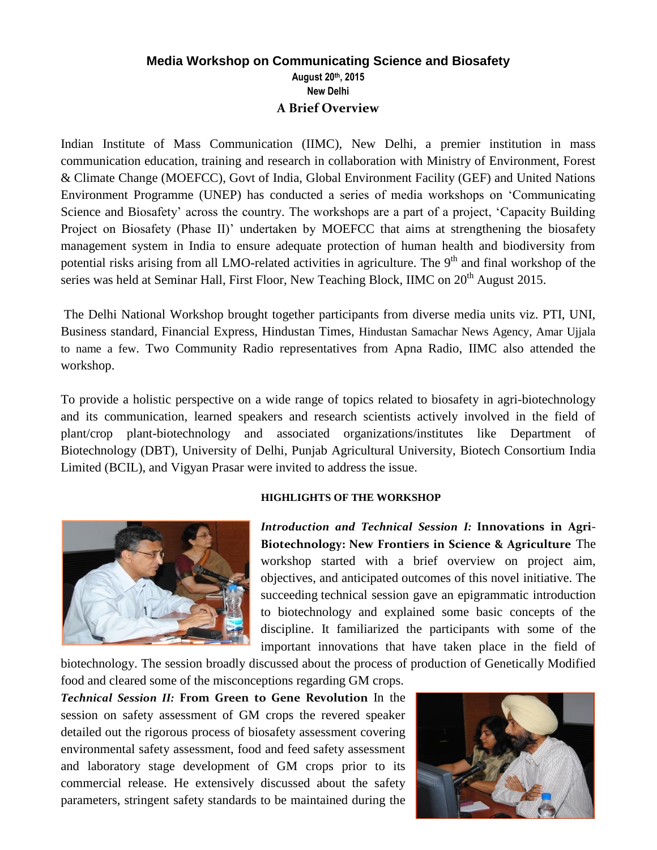## **Media Workshop on Communicating Science and Biosafety August 20th, 2015 New Delhi A Brief Overview**

Indian Institute of Mass Communication (IIMC), New Delhi, a premier institution in mass communication education, training and research in collaboration with Ministry of Environment, Forest & Climate Change (MOEFCC), Govt of India, Global Environment Facility (GEF) and United Nations Environment Programme (UNEP) has conducted a series of media workshops on 'Communicating Science and Biosafety' across the country. The workshops are a part of a project, 'Capacity Building Project on Biosafety (Phase II)' undertaken by MOEFCC that aims at strengthening the biosafety management system in India to ensure adequate protection of human health and biodiversity from potential risks arising from all LMO-related activities in agriculture. The 9<sup>th</sup> and final workshop of the series was held at Seminar Hall, First Floor, New Teaching Block, IIMC on 20<sup>th</sup> August 2015.

The Delhi National Workshop brought together participants from diverse media units viz. PTI, UNI, Business standard, Financial Express, Hindustan Times, Hindustan Samachar News Agency, Amar Ujjala to name a few. Two Community Radio representatives from Apna Radio, IIMC also attended the workshop.

To provide a holistic perspective on a wide range of topics related to biosafety in agri-biotechnology and its communication, learned speakers and research scientists actively involved in the field of plant/crop plant-biotechnology and associated organizations/institutes like Department of Biotechnology (DBT), University of Delhi, Punjab Agricultural University, Biotech Consortium India Limited (BCIL), and Vigyan Prasar were invited to address the issue.



## **HIGHLIGHTS OF THE WORKSHOP**

*Introduction and Technical Session I:* **Innovations in Agri-Biotechnology: New Frontiers in Science & Agriculture** The workshop started with a brief overview on project aim, objectives, and anticipated outcomes of this novel initiative. The succeeding technical session gave an epigrammatic introduction to biotechnology and explained some basic concepts of the discipline. It familiarized the participants with some of the important innovations that have taken place in the field of

biotechnology. The session broadly discussed about the process of production of Genetically Modified food and cleared some of the misconceptions regarding GM crops.

*Technical Session II:* **From Green to Gene Revolution** In the session on safety assessment of GM crops the revered speaker detailed out the rigorous process of biosafety assessment covering environmental safety assessment, food and feed safety assessment and laboratory stage development of GM crops prior to its commercial release. He extensively discussed about the safety parameters, stringent safety standards to be maintained during the